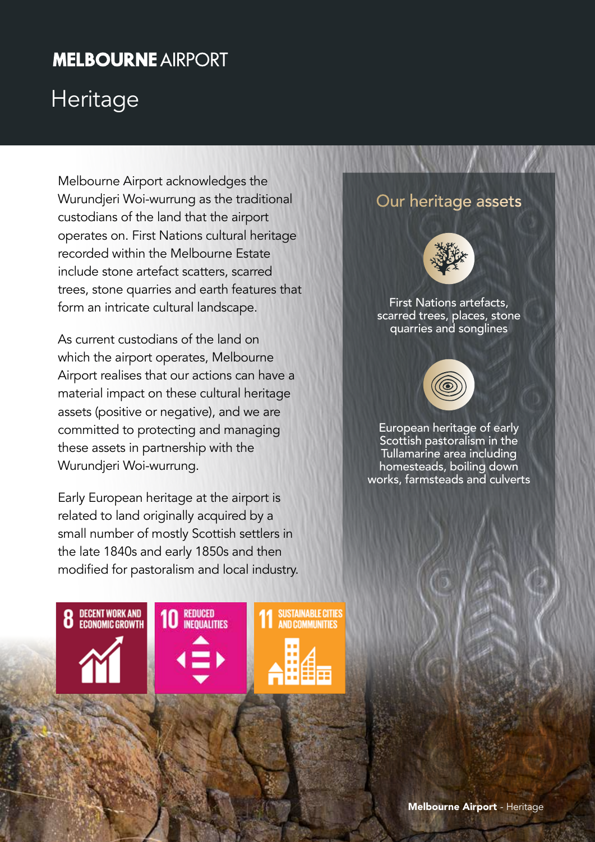## **MELBOURNE AIRPORT**

# **Heritage**

Melbourne Airport acknowledges the Wurundjeri Woi-wurrung as the traditional custodians of the land that the airport operates on. First Nations cultural heritage recorded within the Melbourne Estate include stone artefact scatters, scarred trees, stone quarries and earth features that form an intricate cultural landscape.

As current custodians of the land on which the airport operates, Melbourne Airport realises that our actions can have a material impact on these cultural heritage assets (positive or negative), and we are committed to protecting and managing these assets in partnership with the Wurundjeri Woi-wurrung.

Early European heritage at the airport is related to land originally acquired by a small number of mostly Scottish settlers in the late 1840s and early 1850s and then modified for pastoralism and local industry.

## **8** DECENT WORK AND **10 REDUCED SUSTAINABLE CITIES AND COMMUNITIES**

#### Our heritage assets



First Nations artefacts, scarred trees, places, stone quarries and songlines



European heritage of early Scottish pastoralism in the Tullamarine area including homesteads, boiling down works, farmsteads and culverts